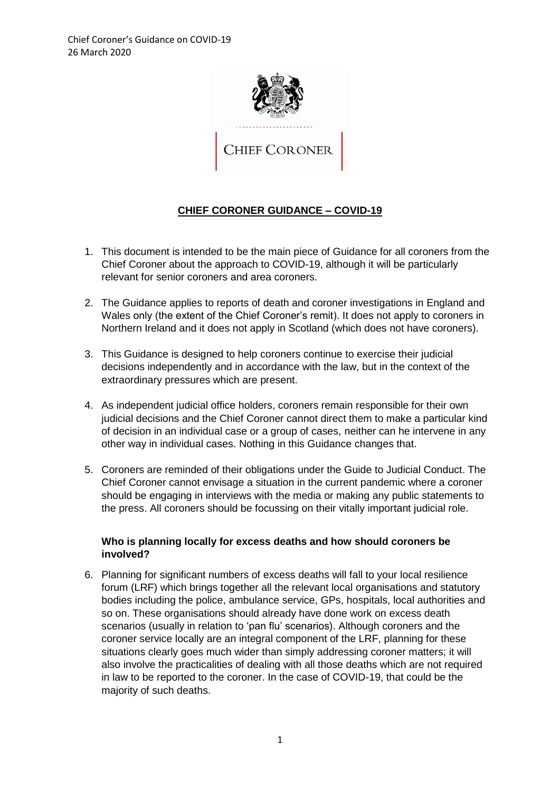

# **CHIEF CORONER GUIDANCE – COVID-19**

- 1. This document is intended to be the main piece of Guidance for all coroners from the Chief Coroner about the approach to COVID-19, although it will be particularly relevant for senior coroners and area coroners.
- 2. The Guidance applies to reports of death and coroner investigations in England and Wales only (the extent of the Chief Coroner's remit). It does not apply to coroners in Northern Ireland and it does not apply in Scotland (which does not have coroners).
- 3. This Guidance is designed to help coroners continue to exercise their judicial decisions independently and in accordance with the law, but in the context of the extraordinary pressures which are present.
- 4. As independent judicial office holders, coroners remain responsible for their own judicial decisions and the Chief Coroner cannot direct them to make a particular kind of decision in an individual case or a group of cases, neither can he intervene in any other way in individual cases. Nothing in this Guidance changes that.
- 5. Coroners are reminded of their obligations under the Guide to Judicial Conduct. The Chief Coroner cannot envisage a situation in the current pandemic where a coroner should be engaging in interviews with the media or making any public statements to the press. All coroners should be focussing on their vitally important judicial role.

### **Who is planning locally for excess deaths and how should coroners be involved?**

6. Planning for significant numbers of excess deaths will fall to your local resilience forum (LRF) which brings together all the relevant local organisations and statutory bodies including the police, ambulance service, GPs, hospitals, local authorities and so on. These organisations should already have done work on excess death scenarios (usually in relation to 'pan flu' scenarios). Although coroners and the coroner service locally are an integral component of the LRF, planning for these situations clearly goes much wider than simply addressing coroner matters; it will also involve the practicalities of dealing with all those deaths which are not required in law to be reported to the coroner. In the case of COVID-19, that could be the majority of such deaths.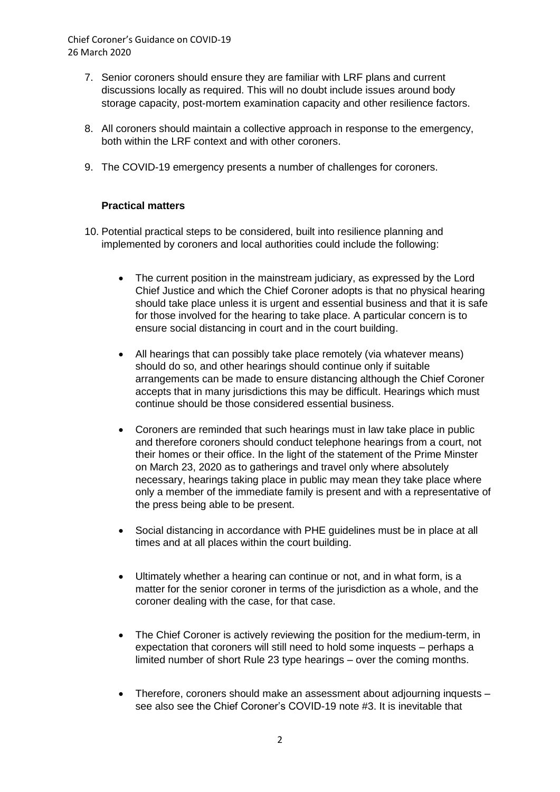- 7. Senior coroners should ensure they are familiar with LRF plans and current discussions locally as required. This will no doubt include issues around body storage capacity, post-mortem examination capacity and other resilience factors.
- 8. All coroners should maintain a collective approach in response to the emergency, both within the LRF context and with other coroners.
- 9. The COVID-19 emergency presents a number of challenges for coroners.

### **Practical matters**

- 10. Potential practical steps to be considered, built into resilience planning and implemented by coroners and local authorities could include the following:
	- The current position in the mainstream judiciary, as expressed by the Lord Chief Justice and which the Chief Coroner adopts is that no physical hearing should take place unless it is urgent and essential business and that it is safe for those involved for the hearing to take place. A particular concern is to ensure social distancing in court and in the court building.
	- All hearings that can possibly take place remotely (via whatever means) should do so, and other hearings should continue only if suitable arrangements can be made to ensure distancing although the Chief Coroner accepts that in many jurisdictions this may be difficult. Hearings which must continue should be those considered essential business.
	- Coroners are reminded that such hearings must in law take place in public and therefore coroners should conduct telephone hearings from a court, not their homes or their office. In the light of the statement of the Prime Minster on March 23, 2020 as to gatherings and travel only where absolutely necessary, hearings taking place in public may mean they take place where only a member of the immediate family is present and with a representative of the press being able to be present.
	- Social distancing in accordance with PHE guidelines must be in place at all times and at all places within the court building.
	- Ultimately whether a hearing can continue or not, and in what form, is a matter for the senior coroner in terms of the jurisdiction as a whole, and the coroner dealing with the case, for that case.
	- The Chief Coroner is actively reviewing the position for the medium-term, in expectation that coroners will still need to hold some inquests – perhaps a limited number of short Rule 23 type hearings – over the coming months.
	- Therefore, coroners should make an assessment about adjourning inquests see also see the Chief Coroner's COVID-19 note #3. It is inevitable that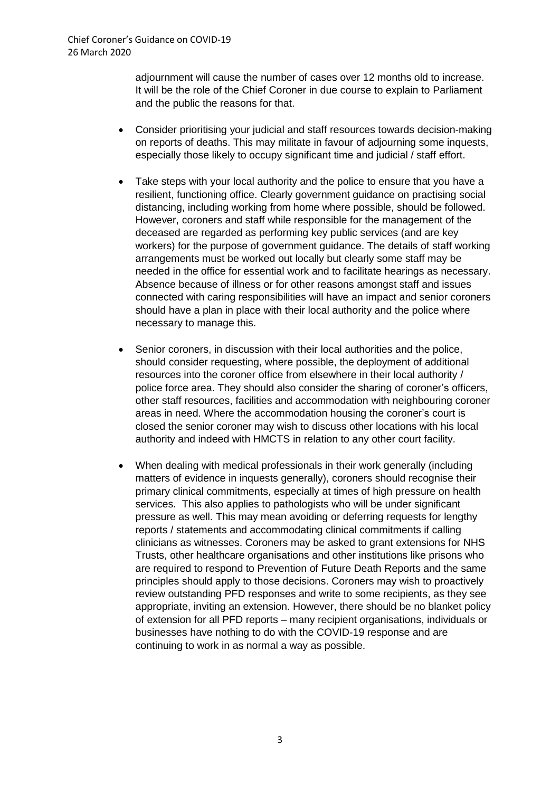adjournment will cause the number of cases over 12 months old to increase. It will be the role of the Chief Coroner in due course to explain to Parliament and the public the reasons for that.

- Consider prioritising your judicial and staff resources towards decision-making on reports of deaths. This may militate in favour of adjourning some inquests, especially those likely to occupy significant time and judicial / staff effort.
- Take steps with your local authority and the police to ensure that you have a resilient, functioning office. Clearly government guidance on practising social distancing, including working from home where possible, should be followed. However, coroners and staff while responsible for the management of the deceased are regarded as performing key public services (and are key workers) for the purpose of government guidance. The details of staff working arrangements must be worked out locally but clearly some staff may be needed in the office for essential work and to facilitate hearings as necessary. Absence because of illness or for other reasons amongst staff and issues connected with caring responsibilities will have an impact and senior coroners should have a plan in place with their local authority and the police where necessary to manage this.
- Senior coroners, in discussion with their local authorities and the police, should consider requesting, where possible, the deployment of additional resources into the coroner office from elsewhere in their local authority / police force area. They should also consider the sharing of coroner's officers, other staff resources, facilities and accommodation with neighbouring coroner areas in need. Where the accommodation housing the coroner's court is closed the senior coroner may wish to discuss other locations with his local authority and indeed with HMCTS in relation to any other court facility.
- When dealing with medical professionals in their work generally (including matters of evidence in inquests generally), coroners should recognise their primary clinical commitments, especially at times of high pressure on health services. This also applies to pathologists who will be under significant pressure as well. This may mean avoiding or deferring requests for lengthy reports / statements and accommodating clinical commitments if calling clinicians as witnesses. Coroners may be asked to grant extensions for NHS Trusts, other healthcare organisations and other institutions like prisons who are required to respond to Prevention of Future Death Reports and the same principles should apply to those decisions. Coroners may wish to proactively review outstanding PFD responses and write to some recipients, as they see appropriate, inviting an extension. However, there should be no blanket policy of extension for all PFD reports – many recipient organisations, individuals or businesses have nothing to do with the COVID-19 response and are continuing to work in as normal a way as possible.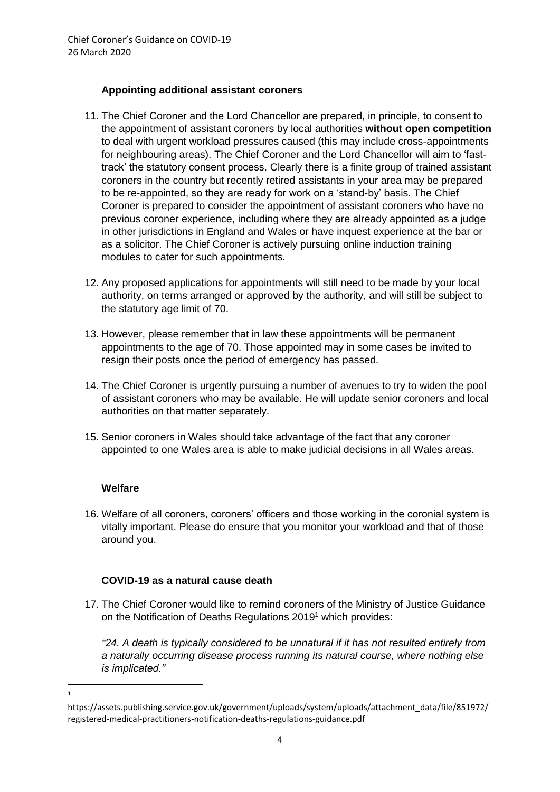## **Appointing additional assistant coroners**

- 11. The Chief Coroner and the Lord Chancellor are prepared, in principle, to consent to the appointment of assistant coroners by local authorities **without open competition**  to deal with urgent workload pressures caused (this may include cross-appointments for neighbouring areas). The Chief Coroner and the Lord Chancellor will aim to 'fasttrack' the statutory consent process. Clearly there is a finite group of trained assistant coroners in the country but recently retired assistants in your area may be prepared to be re-appointed, so they are ready for work on a 'stand-by' basis. The Chief Coroner is prepared to consider the appointment of assistant coroners who have no previous coroner experience, including where they are already appointed as a judge in other jurisdictions in England and Wales or have inquest experience at the bar or as a solicitor. The Chief Coroner is actively pursuing online induction training modules to cater for such appointments.
- 12. Any proposed applications for appointments will still need to be made by your local authority, on terms arranged or approved by the authority, and will still be subject to the statutory age limit of 70.
- 13. However, please remember that in law these appointments will be permanent appointments to the age of 70. Those appointed may in some cases be invited to resign their posts once the period of emergency has passed.
- 14. The Chief Coroner is urgently pursuing a number of avenues to try to widen the pool of assistant coroners who may be available. He will update senior coroners and local authorities on that matter separately.
- 15. Senior coroners in Wales should take advantage of the fact that any coroner appointed to one Wales area is able to make judicial decisions in all Wales areas.

## **Welfare**

 $\frac{1}{1}$ 

16. Welfare of all coroners, coroners' officers and those working in the coronial system is vitally important. Please do ensure that you monitor your workload and that of those around you.

## **COVID-19 as a natural cause death**

17. The Chief Coroner would like to remind coroners of the Ministry of Justice Guidance on the Notification of Deaths Regulations 2019<sup>1</sup> which provides:

*"24. A death is typically considered to be unnatural if it has not resulted entirely from a naturally occurring disease process running its natural course, where nothing else is implicated."*

https://assets.publishing.service.gov.uk/government/uploads/system/uploads/attachment\_data/file/851972/ registered-medical-practitioners-notification-deaths-regulations-guidance.pdf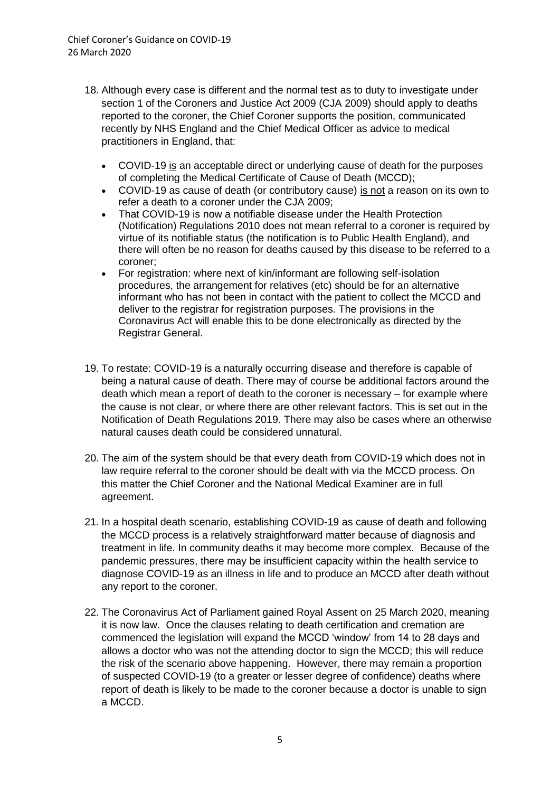- 18. Although every case is different and the normal test as to duty to investigate under section 1 of the Coroners and Justice Act 2009 (CJA 2009) should apply to deaths reported to the coroner, the Chief Coroner supports the position, communicated recently by NHS England and the Chief Medical Officer as advice to medical practitioners in England, that:
	- COVID-19 is an acceptable direct or underlying cause of death for the purposes of completing the Medical Certificate of Cause of Death (MCCD);
	- COVID-19 as cause of death (or contributory cause) is not a reason on its own to refer a death to a coroner under the CJA 2009;
	- That COVID-19 is now a notifiable disease under the Health Protection (Notification) Regulations 2010 does not mean referral to a coroner is required by virtue of its notifiable status (the notification is to Public Health England), and there will often be no reason for deaths caused by this disease to be referred to a coroner;
	- For registration: where next of kin/informant are following self-isolation procedures, the arrangement for relatives (etc) should be for an alternative informant who has not been in contact with the patient to collect the MCCD and deliver to the registrar for registration purposes. The provisions in the Coronavirus Act will enable this to be done electronically as directed by the Registrar General.
- 19. To restate: COVID-19 is a naturally occurring disease and therefore is capable of being a natural cause of death. There may of course be additional factors around the death which mean a report of death to the coroner is necessary – for example where the cause is not clear, or where there are other relevant factors. This is set out in the Notification of Death Regulations 2019. There may also be cases where an otherwise natural causes death could be considered unnatural.
- 20. The aim of the system should be that every death from COVID-19 which does not in law require referral to the coroner should be dealt with via the MCCD process. On this matter the Chief Coroner and the National Medical Examiner are in full agreement.
- 21. In a hospital death scenario, establishing COVID-19 as cause of death and following the MCCD process is a relatively straightforward matter because of diagnosis and treatment in life. In community deaths it may become more complex. Because of the pandemic pressures, there may be insufficient capacity within the health service to diagnose COVID-19 as an illness in life and to produce an MCCD after death without any report to the coroner.
- 22. The Coronavirus Act of Parliament gained Royal Assent on 25 March 2020, meaning it is now law. Once the clauses relating to death certification and cremation are commenced the legislation will expand the MCCD 'window' from 14 to 28 days and allows a doctor who was not the attending doctor to sign the MCCD; this will reduce the risk of the scenario above happening. However, there may remain a proportion of suspected COVID-19 (to a greater or lesser degree of confidence) deaths where report of death is likely to be made to the coroner because a doctor is unable to sign a MCCD.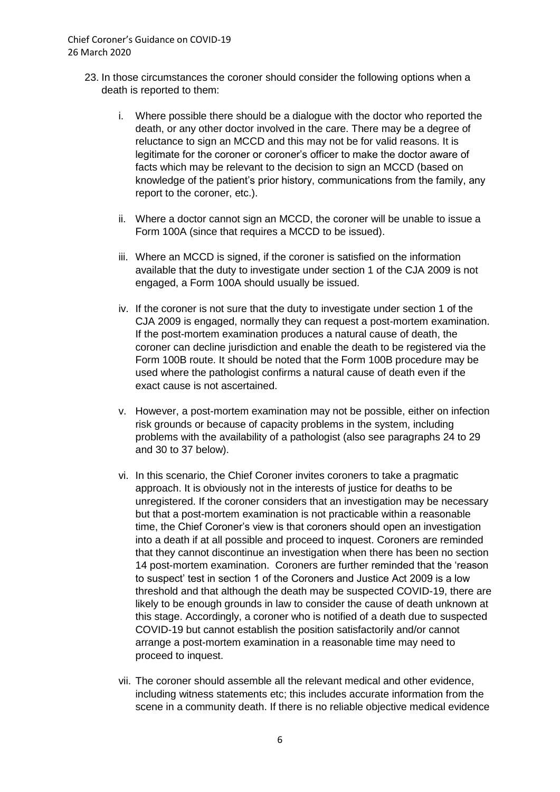- 23. In those circumstances the coroner should consider the following options when a death is reported to them:
	- i. Where possible there should be a dialogue with the doctor who reported the death, or any other doctor involved in the care. There may be a degree of reluctance to sign an MCCD and this may not be for valid reasons. It is legitimate for the coroner or coroner's officer to make the doctor aware of facts which may be relevant to the decision to sign an MCCD (based on knowledge of the patient's prior history, communications from the family, any report to the coroner, etc.).
	- ii. Where a doctor cannot sign an MCCD, the coroner will be unable to issue a Form 100A (since that requires a MCCD to be issued).
	- iii. Where an MCCD is signed, if the coroner is satisfied on the information available that the duty to investigate under section 1 of the CJA 2009 is not engaged, a Form 100A should usually be issued.
	- iv. If the coroner is not sure that the duty to investigate under section 1 of the CJA 2009 is engaged, normally they can request a post-mortem examination. If the post-mortem examination produces a natural cause of death, the coroner can decline jurisdiction and enable the death to be registered via the Form 100B route. It should be noted that the Form 100B procedure may be used where the pathologist confirms a natural cause of death even if the exact cause is not ascertained.
	- v. However, a post-mortem examination may not be possible, either on infection risk grounds or because of capacity problems in the system, including problems with the availability of a pathologist (also see paragraphs 24 to 29 and 30 to 37 below).
	- vi. In this scenario, the Chief Coroner invites coroners to take a pragmatic approach. It is obviously not in the interests of justice for deaths to be unregistered. If the coroner considers that an investigation may be necessary but that a post-mortem examination is not practicable within a reasonable time, the Chief Coroner's view is that coroners should open an investigation into a death if at all possible and proceed to inquest. Coroners are reminded that they cannot discontinue an investigation when there has been no section 14 post-mortem examination. Coroners are further reminded that the 'reason to suspect' test in section 1 of the Coroners and Justice Act 2009 is a low threshold and that although the death may be suspected COVID-19, there are likely to be enough grounds in law to consider the cause of death unknown at this stage. Accordingly, a coroner who is notified of a death due to suspected COVID-19 but cannot establish the position satisfactorily and/or cannot arrange a post-mortem examination in a reasonable time may need to proceed to inquest.
	- vii. The coroner should assemble all the relevant medical and other evidence, including witness statements etc; this includes accurate information from the scene in a community death. If there is no reliable objective medical evidence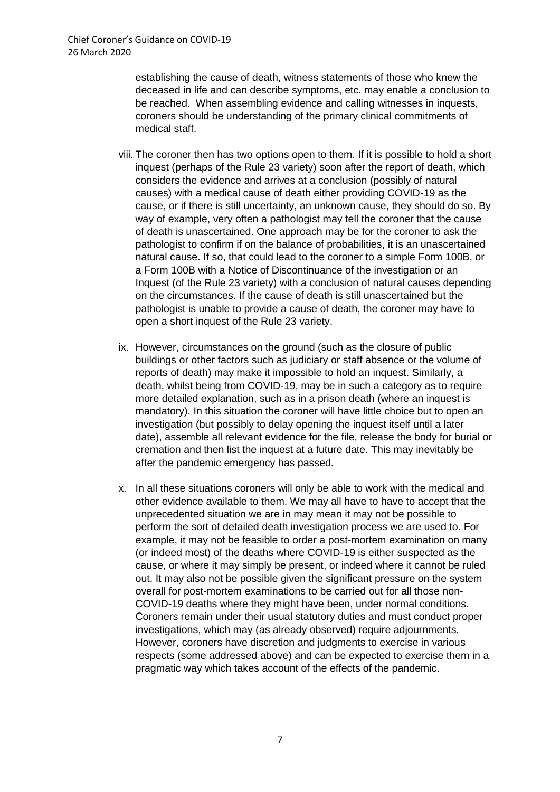establishing the cause of death, witness statements of those who knew the deceased in life and can describe symptoms, etc. may enable a conclusion to be reached. When assembling evidence and calling witnesses in inquests, coroners should be understanding of the primary clinical commitments of medical staff.

- viii. The coroner then has two options open to them. If it is possible to hold a short inquest (perhaps of the Rule 23 variety) soon after the report of death, which considers the evidence and arrives at a conclusion (possibly of natural causes) with a medical cause of death either providing COVID-19 as the cause, or if there is still uncertainty, an unknown cause, they should do so. By way of example, very often a pathologist may tell the coroner that the cause of death is unascertained. One approach may be for the coroner to ask the pathologist to confirm if on the balance of probabilities, it is an unascertained natural cause. If so, that could lead to the coroner to a simple Form 100B, or a Form 100B with a Notice of Discontinuance of the investigation or an Inquest (of the Rule 23 variety) with a conclusion of natural causes depending on the circumstances. If the cause of death is still unascertained but the pathologist is unable to provide a cause of death, the coroner may have to open a short inquest of the Rule 23 variety.
- ix. However, circumstances on the ground (such as the closure of public buildings or other factors such as judiciary or staff absence or the volume of reports of death) may make it impossible to hold an inquest. Similarly, a death, whilst being from COVID-19, may be in such a category as to require more detailed explanation, such as in a prison death (where an inquest is mandatory). In this situation the coroner will have little choice but to open an investigation (but possibly to delay opening the inquest itself until a later date), assemble all relevant evidence for the file, release the body for burial or cremation and then list the inquest at a future date. This may inevitably be after the pandemic emergency has passed.
- x. In all these situations coroners will only be able to work with the medical and other evidence available to them. We may all have to have to accept that the unprecedented situation we are in may mean it may not be possible to perform the sort of detailed death investigation process we are used to. For example, it may not be feasible to order a post-mortem examination on many (or indeed most) of the deaths where COVID-19 is either suspected as the cause, or where it may simply be present, or indeed where it cannot be ruled out. It may also not be possible given the significant pressure on the system overall for post-mortem examinations to be carried out for all those non-COVID-19 deaths where they might have been, under normal conditions. Coroners remain under their usual statutory duties and must conduct proper investigations, which may (as already observed) require adjournments. However, coroners have discretion and judgments to exercise in various respects (some addressed above) and can be expected to exercise them in a pragmatic way which takes account of the effects of the pandemic.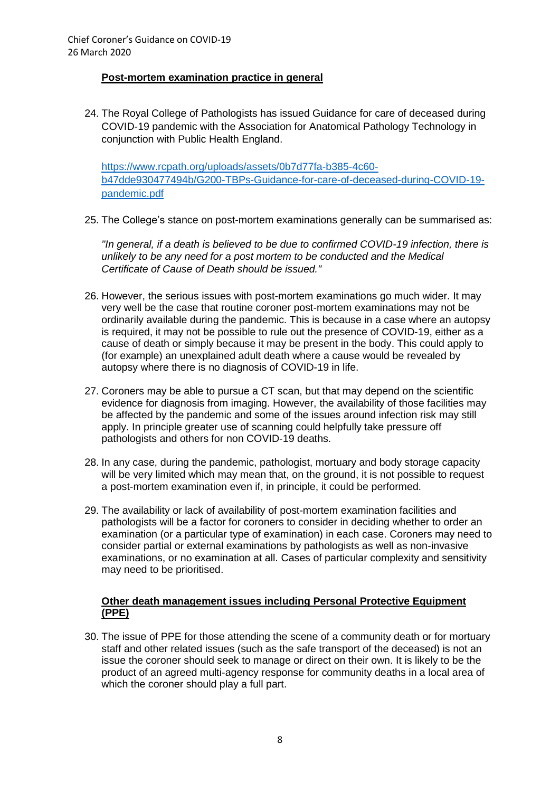# **Post-mortem examination practice in general**

24. The Royal College of Pathologists has issued Guidance for care of deceased during COVID-19 pandemic with the Association for Anatomical Pathology Technology in conjunction with Public Health England.

[https://www.rcpath.org/uploads/assets/0b7d77fa-b385-4c60](https://www.rcpath.org/uploads/assets/0b7d77fa-b385-4c60-b47dde930477494b/G200-TBPs-Guidance-for-care-of-deceased-during-COVID-19-pandemic.pdf) [b47dde930477494b/G200-TBPs-Guidance-for-care-of-deceased-during-COVID-19](https://www.rcpath.org/uploads/assets/0b7d77fa-b385-4c60-b47dde930477494b/G200-TBPs-Guidance-for-care-of-deceased-during-COVID-19-pandemic.pdf) [pandemic.pdf](https://www.rcpath.org/uploads/assets/0b7d77fa-b385-4c60-b47dde930477494b/G200-TBPs-Guidance-for-care-of-deceased-during-COVID-19-pandemic.pdf)

25. The College's stance on post-mortem examinations generally can be summarised as:

*"In general, if a death is believed to be due to confirmed COVID-19 infection, there is unlikely to be any need for a post mortem to be conducted and the Medical Certificate of Cause of Death should be issued."*

- 26. However, the serious issues with post-mortem examinations go much wider. It may very well be the case that routine coroner post-mortem examinations may not be ordinarily available during the pandemic. This is because in a case where an autopsy is required, it may not be possible to rule out the presence of COVID-19, either as a cause of death or simply because it may be present in the body. This could apply to (for example) an unexplained adult death where a cause would be revealed by autopsy where there is no diagnosis of COVID-19 in life.
- 27. Coroners may be able to pursue a CT scan, but that may depend on the scientific evidence for diagnosis from imaging. However, the availability of those facilities may be affected by the pandemic and some of the issues around infection risk may still apply. In principle greater use of scanning could helpfully take pressure off pathologists and others for non COVID-19 deaths.
- 28. In any case, during the pandemic, pathologist, mortuary and body storage capacity will be very limited which may mean that, on the ground, it is not possible to request a post-mortem examination even if, in principle, it could be performed.
- 29. The availability or lack of availability of post-mortem examination facilities and pathologists will be a factor for coroners to consider in deciding whether to order an examination (or a particular type of examination) in each case. Coroners may need to consider partial or external examinations by pathologists as well as non-invasive examinations, or no examination at all. Cases of particular complexity and sensitivity may need to be prioritised.

#### **Other death management issues including Personal Protective Equipment (PPE)**

30. The issue of PPE for those attending the scene of a community death or for mortuary staff and other related issues (such as the safe transport of the deceased) is not an issue the coroner should seek to manage or direct on their own. It is likely to be the product of an agreed multi-agency response for community deaths in a local area of which the coroner should play a full part.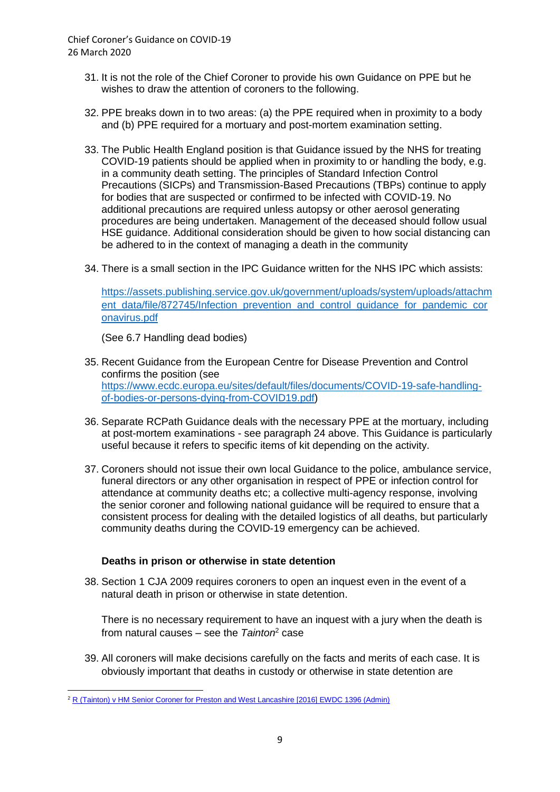- 31. It is not the role of the Chief Coroner to provide his own Guidance on PPE but he wishes to draw the attention of coroners to the following.
- 32. PPE breaks down in to two areas: (a) the PPE required when in proximity to a body and (b) PPE required for a mortuary and post-mortem examination setting.
- 33. The Public Health England position is that Guidance issued by the NHS for treating COVID-19 patients should be applied when in proximity to or handling the body, e.g. in a community death setting. The principles of Standard Infection Control Precautions (SICPs) and Transmission-Based Precautions (TBPs) continue to apply for bodies that are suspected or confirmed to be infected with COVID-19. No additional precautions are required unless autopsy or other aerosol generating procedures are being undertaken. Management of the deceased should follow usual HSE guidance. Additional consideration should be given to how social distancing can be adhered to in the context of managing a death in the community
- 34. There is a small section in the IPC Guidance written for the NHS IPC which assists:

[https://assets.publishing.service.gov.uk/government/uploads/system/uploads/attachm](https://assets.publishing.service.gov.uk/government/uploads/system/uploads/attachment_data/file/872745/Infection_prevention_and_control_guidance_for_pandemic_coronavirus.pdf) ent\_data/file/872745/Infection\_prevention\_and\_control\_quidance\_for\_pandemic\_cor [onavirus.pdf](https://assets.publishing.service.gov.uk/government/uploads/system/uploads/attachment_data/file/872745/Infection_prevention_and_control_guidance_for_pandemic_coronavirus.pdf)

(See 6.7 Handling dead bodies)

- 35. Recent Guidance from the European Centre for Disease Prevention and Control confirms the position (see [https://www.ecdc.europa.eu/sites/default/files/documents/COVID-19-safe-handling](https://www.ecdc.europa.eu/sites/default/files/documents/COVID-19-safe-handling-of-bodies-or-persons-dying-from-COVID19.pdf)[of-bodies-or-persons-dying-from-COVID19.pdf\)](https://www.ecdc.europa.eu/sites/default/files/documents/COVID-19-safe-handling-of-bodies-or-persons-dying-from-COVID19.pdf)
- 36. Separate RCPath Guidance deals with the necessary PPE at the mortuary, including at post-mortem examinations - see paragraph 24 above. This Guidance is particularly useful because it refers to specific items of kit depending on the activity.
- 37. Coroners should not issue their own local Guidance to the police, ambulance service, funeral directors or any other organisation in respect of PPE or infection control for attendance at community deaths etc; a collective multi-agency response, involving the senior coroner and following national guidance will be required to ensure that a consistent process for dealing with the detailed logistics of all deaths, but particularly community deaths during the COVID-19 emergency can be achieved.

#### **Deaths in prison or otherwise in state detention**

38. Section 1 CJA 2009 requires coroners to open an inquest even in the event of a natural death in prison or otherwise in state detention.

There is no necessary requirement to have an inquest with a jury when the death is from natural causes – see the *Tainton*<sup>2</sup> case

39. All coroners will make decisions carefully on the facts and merits of each case. It is obviously important that deaths in custody or otherwise in state detention are

**<sup>.</sup>** <sup>2</sup> [R \(Tainton\) v HM Senior Coroner for Preston and West Lancashire](https://www.google.com/url?sa=t&rct=j&q=&esrc=s&source=web&cd=1&cad=rja&uact=8&ved=2ahUKEwiqhr-TldHnAhUjURUIHVRXBWwQFjAAegQIBRAB&url=https%3A%2F%2Fwww.judiciary.uk%2Fwp-content%2Fuploads%2F2016%2F07%2Ftainton-v-hm-senior-coroner-for-preston-and-west-lancashire.pdf&usg=AOvVaw3EgmMVmIxXDVIbVHub3yjl) [2016] EWDC 1396 (Admin)